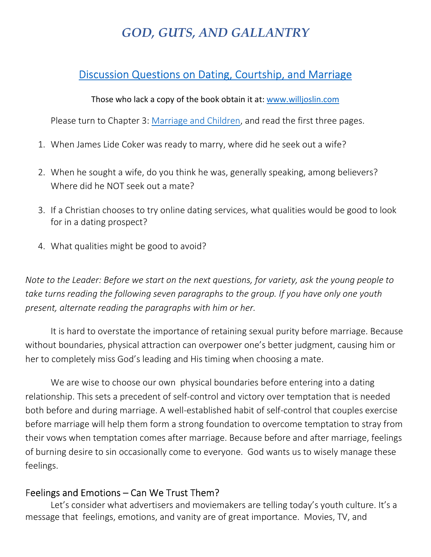# *GOD, GUTS, AND GALLANTRY*

# Discussion Questions on Dating, Courtship, and Marriage

#### Those who lack a copy of the book obtain it at: www.willjoslin.com

Please turn to Chapter 3: Marriage and Children, and read the first three pages.

- 1. When James Lide Coker was ready to marry, where did he seek out a wife?
- 2. When he sought a wife, do you think he was, generally speaking, among believers? Where did he NOT seek out a mate?
- 3. If a Christian chooses to try online dating services, what qualities would be good to look for in a dating prospect?
- 4. What qualities might be good to avoid?

*Note to the Leader: Before we start on the next questions, for variety, ask the young people to take turns reading the following seven paragraphs to the group. If you have only one youth present, alternate reading the paragraphs with him or her.* 

It is hard to overstate the importance of retaining sexual purity before marriage. Because without boundaries, physical attraction can overpower one's better judgment, causing him or her to completely miss God's leading and His timing when choosing a mate.

We are wise to choose our own physical boundaries before entering into a dating relationship. This sets a precedent of self-control and victory over temptation that is needed both before and during marriage. A well-established habit of self-control that couples exercise before marriage will help them form a strong foundation to overcome temptation to stray from their vows when temptation comes after marriage. Because before and after marriage, feelings of burning desire to sin occasionally come to everyone. God wants us to wisely manage these feelings.

## Feelings and Emotions – Can We Trust Them?

Let's consider what advertisers and moviemakers are telling today's youth culture. It's a message that feelings, emotions, and vanity are of great importance. Movies, TV, and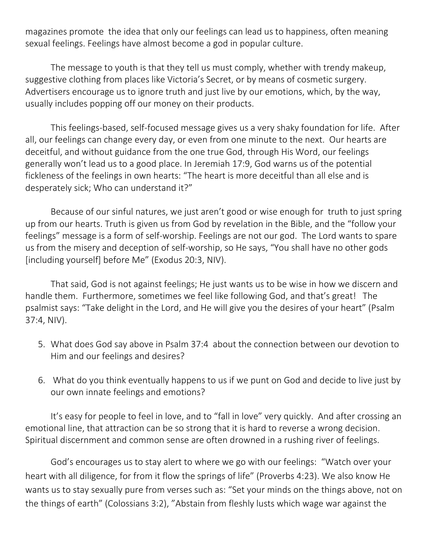magazines promote the idea that only our feelings can lead us to happiness, often meaning sexual feelings. Feelings have almost become a god in popular culture.

The message to youth is that they tell us must comply, whether with trendy makeup, suggestive clothing from places like Victoria's Secret, or by means of cosmetic surgery. Advertisers encourage us to ignore truth and just live by our emotions, which, by the way, usually includes popping off our money on their products.

This feelings-based, self-focused message gives us a very shaky foundation for life. After all, our feelings can change every day, or even from one minute to the next. Our hearts are deceitful, and without guidance from the one true God, through His Word, our feelings generally won't lead us to a good place. In Jeremiah 17:9, God warns us of the potential fickleness of the feelings in own hearts: "The heart is more deceitful than all else and is desperately sick; Who can understand it?"

Because of our sinful natures, we just aren't good or wise enough for truth to just spring up from our hearts. Truth is given us from God by revelation in the Bible, and the "follow your feelings" message is a form of self-worship. Feelings are not our god. The Lord wants to spare us from the misery and deception of self-worship, so He says, "You shall have no other gods [including yourself] before Me" (Exodus 20:3, NIV).

That said, God is not against feelings; He just wants us to be wise in how we discern and handle them. Furthermore, sometimes we feel like following God, and that's great! The psalmist says: "Take delight in the Lord, and He will give you the desires of your heart" (Psalm 37:4, NIV).

- 5. What does God say above in Psalm 37:4 about the connection between our devotion to Him and our feelings and desires?
- 6. What do you think eventually happens to us if we punt on God and decide to live just by our own innate feelings and emotions?

It's easy for people to feel in love, and to "fall in love" very quickly. And after crossing an emotional line, that attraction can be so strong that it is hard to reverse a wrong decision. Spiritual discernment and common sense are often drowned in a rushing river of feelings.

God's encourages us to stay alert to where we go with our feelings: "Watch over your heart with all diligence, for from it flow the springs of life" (Proverbs 4:23). We also know He wants us to stay sexually pure from verses such as: "Set your minds on the things above, not on the things of earth" (Colossians 3:2), "Abstain from fleshly lusts which wage war against the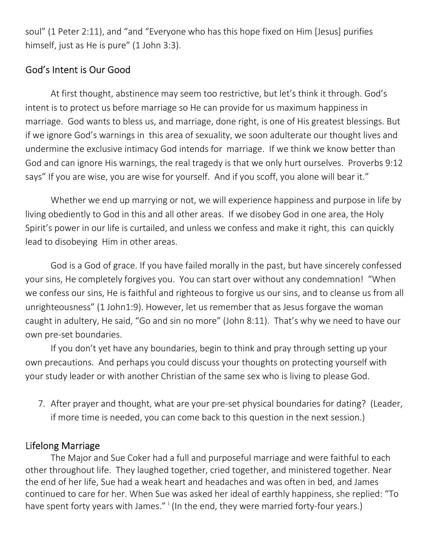soul" (1 Peter 2:11), and "and "Everyone who has this hope fixed on Him [Jesus] purifies himself, just as He is pure" (1 John 3:3).

## God's Intent is Our Good

At first thought, abstinence may seem too restrictive, but let's think it through. God's intent is to protect us before marriage so He can provide for us maximum happiness in marriage. God wants to bless us, and marriage, done right, is one of His greatest blessings. But if we ignore God's warnings in this area of sexuality, we soon adulterate our thought lives and undermine the exclusive intimacy God intends for marriage. If we think we know better than God and can ignore His warnings, the real tragedy is that we only hurt ourselves. Proverbs 9:12 says" If you are wise, you are wise for yourself. And if you scoff, you alone will bear it."

Whether we end up marrying or not, we will experience happiness and purpose in life by living obediently to God in this and all other areas. If we disobey God in one area, the Holy Spirit's power in our life is curtailed, and unless we confess and make it right, this can quickly lead to disobeying Him in other areas.

God is a God of grace. If you have failed morally in the past, but have sincerely confessed your sins, He completely forgives you. You can start over without any condemnation! "When we confess our sins, He is faithful and righteous to forgive us our sins, and to cleanse us from all unrighteousness" (1 John1:9). However, let us remember that as Jesus forgave the woman caught in adultery, He said, "Go and sin no more" (John 8:11). That's why we need to have our own pre-set boundaries.

If you don't yet have any boundaries, begin to think and pray through setting up your own precautions. And perhaps you could discuss your thoughts on protecting yourself with your study leader or with another Christian of the same sex who is living to please God.

7. After prayer and thought, what are your pre-set physical boundaries for dating? (Leader, if more time is needed, you can come back to this question in the next session.)

## Lifelong Marriage

The Major and Sue Coker had a full and purposeful marriage and were faithful to each other throughout life. They laughed together, cried together, and ministered together. Near the end of her life, Sue had a weak heart and headaches and was often in bed, and James continued to care for her. When Sue was asked her ideal of earthly happiness, she replied: "To have spent forty years with James." I (In the end, they were married forty-four years.)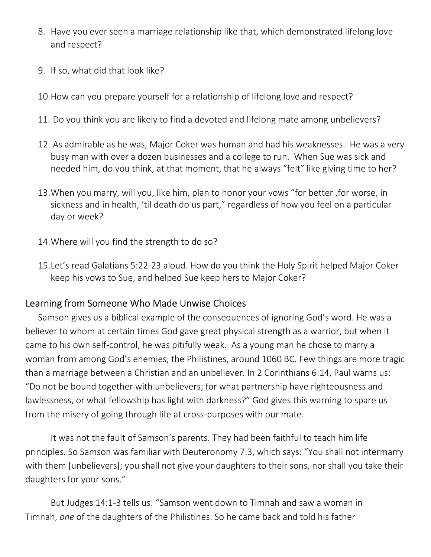- 8. Have you ever seen a marriage relationship like that, which demonstrated lifelong love and respect?
- 9. If so, what did that look like?
- 10.How can you prepare yourself for a relationship of lifelong love and respect?
- 11. Do you think you are likely to find a devoted and lifelong mate among unbelievers?
- 12. As admirable as he was, Major Coker was human and had his weaknesses. He was a very busy man with over a dozen businesses and a college to run. When Sue was sick and needed him, do you think, at that moment, that he always "felt" like giving time to her?
- 13.When you marry, will you, like him, plan to honor your vows "for better ,for worse, in sickness and in health, 'til death do us part," regardless of how you feel on a particular day or week?
- 14.Where will you find the strength to do so?
- 15.Let's read Galatians 5:22-23 aloud. How do you think the Holy Spirit helped Major Coker keep his vows to Sue, and helped Sue keep hers to Major Coker?

#### Learning from Someone Who Made Unwise Choices

Samson gives us a biblical example of the consequences of ignoring God's word. He was a believer to whom at certain times God gave great physical strength as a warrior, but when it came to his own self-control, he was pitifully weak. As a young man he chose to marry a woman from among God's enemies, the Philistines, around 1060 BC. Few things are more tragic than a marriage between a Christian and an unbeliever. In 2 Corinthians 6:14, Paul warns us: "Do not be bound together with unbelievers; for what partnership have righteousness and lawlessness, or what fellowship has light with darkness?" God gives this warning to spare us from the misery of going through life at cross-purposes with our mate.

It was not the fault of Samson's parents. They had been faithful to teach him life principles. So Samson was familiar with Deuteronomy 7:3, which says: "You shall not intermarry with them [unbelievers]; you shall not give your daughters to their sons, nor shall you take their daughters for your sons."

But Judges 14:1-3 tells us: "Samson went down to Timnah and saw a woman in Timnah, *one* of the daughters of the Philistines. So he came back and told his father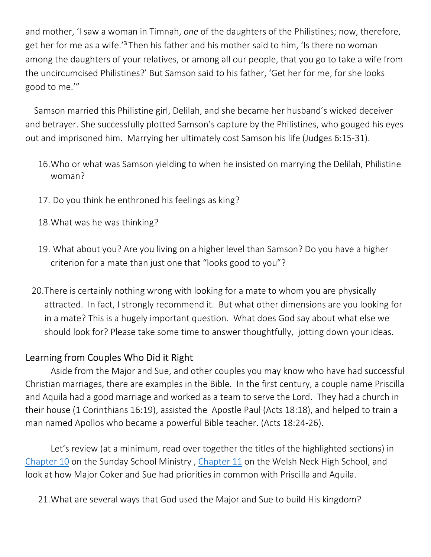and mother, 'I saw a woman in Timnah, *one* of the daughters of the Philistines; now, therefore, get her for me as a wife.<sup>'3</sup>Then his father and his mother said to him, 'Is there no woman among the daughters of your relatives, or among all our people, that you go to take a wife from the uncircumcised Philistines?' But Samson said to his father, 'Get her for me, for she looks good to me.'"

 Samson married this Philistine girl, Delilah, and she became her husband's wicked deceiver and betrayer. She successfully plotted Samson's capture by the Philistines, who gouged his eyes out and imprisoned him. Marrying her ultimately cost Samson his life (Judges 6:15-31).

- 16.Who or what was Samson yielding to when he insisted on marrying the Delilah, Philistine woman?
- 17. Do you think he enthroned his feelings as king?
- 18.What was he was thinking?
- 19. What about you? Are you living on a higher level than Samson? Do you have a higher criterion for a mate than just one that "looks good to you"?
- 20.There is certainly nothing wrong with looking for a mate to whom you are physically attracted. In fact, I strongly recommend it. But what other dimensions are you looking for in a mate? This is a hugely important question. What does God say about what else we should look for? Please take some time to answer thoughtfully, jotting down your ideas.

## Learning from Couples Who Did it Right

Aside from the Major and Sue, and other couples you may know who have had successful Christian marriages, there are examples in the Bible. In the first century, a couple name Priscilla and Aquila had a good marriage and worked as a team to serve the Lord. They had a church in their house (1 Corinthians 16:19), assisted the Apostle Paul (Acts 18:18), and helped to train a man named Apollos who became a powerful Bible teacher. (Acts 18:24-26).

Let's review (at a minimum, read over together the titles of the highlighted sections) in Chapter 10 on the Sunday School Ministry , Chapter 11 on the Welsh Neck High School, and look at how Major Coker and Sue had priorities in common with Priscilla and Aquila.

21.What are several ways that God used the Major and Sue to build His kingdom?